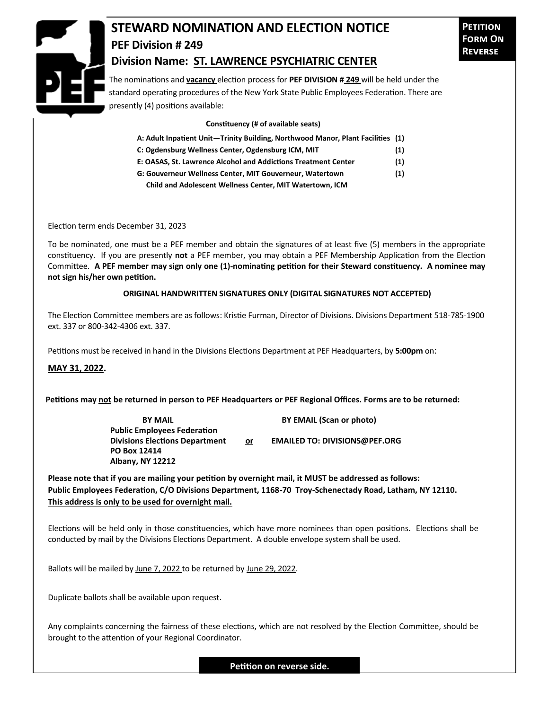

## **STEWARD NOMINATION AND ELECTION NOTICE PEF Division # 249 Division Name: ST. LAWRENCE PSYCHIATRIC CENTER**

The nominations and **vacancy** election process for **PEF DIVISION # 249** will be held under the standard operating procedures of the New York State Public Employees Federation. There are presently (4) positions available:

## **Constituency (# of available seats)**

| A: Adult Inpatient Unit—Trinity Building, Northwood Manor, Plant Facilities (1) |            |  |  |  |
|---------------------------------------------------------------------------------|------------|--|--|--|
| C: Ogdensburg Wellness Center, Ogdensburg ICM, MIT                              | (1)        |  |  |  |
| E: OASAS. St. Lawrence Alcohol and Addictions Treatment Center                  | (1)        |  |  |  |
|                                                                                 | $\sqrt{2}$ |  |  |  |

**G: Gouverneur Wellness Center, MIT Gouverneur, Watertown (1) Child and Adolescent Wellness Center, MIT Watertown, ICM** 

Election term ends December 31, 2023

To be nominated, one must be a PEF member and obtain the signatures of at least five (5) members in the appropriate constituency. If you are presently **not** a PEF member, you may obtain a PEF Membership Application from the Election Committee. **A PEF member may sign only one (1)-nominating petition for their Steward constituency. A nominee may not sign his/her own petition.**

## **ORIGINAL HANDWRITTEN SIGNATURES ONLY (DIGITAL SIGNATURES NOT ACCEPTED)**

The Election Committee members are as follows: Kristie Furman, Director of Divisions. Divisions Department 518-785-1900 ext. 337 or 800-342-4306 ext. 337.

Petitions must be received in hand in the Divisions Elections Department at PEF Headquarters, by **5:00pm** on:

**MAY 31, 2022.**

**Petitions may not be returned in person to PEF Headquarters or PEF Regional Offices. Forms are to be returned:**

**Public Employees Federation PO Box 12414 Albany, NY 12212**

**BY MAIL BY EMAIL (Scan or photo)** 

**Divisions Elections Department or EMAILED TO: DIVISIONS@PEF.ORG**

**Please note that if you are mailing your petition by overnight mail, it MUST be addressed as follows: Public Employees Federation, C/O Divisions Department, 1168-70 Troy-Schenectady Road, Latham, NY 12110. This address is only to be used for overnight mail.**

Elections will be held only in those constituencies, which have more nominees than open positions. Elections shall be conducted by mail by the Divisions Elections Department. A double envelope system shall be used.

Ballots will be mailed by June 7, 2022 to be returned by June 29, 2022.

Duplicate ballots shall be available upon request.

Any complaints concerning the fairness of these elections, which are not resolved by the Election Committee, should be brought to the attention of your Regional Coordinator.

**Petition on reverse side.**